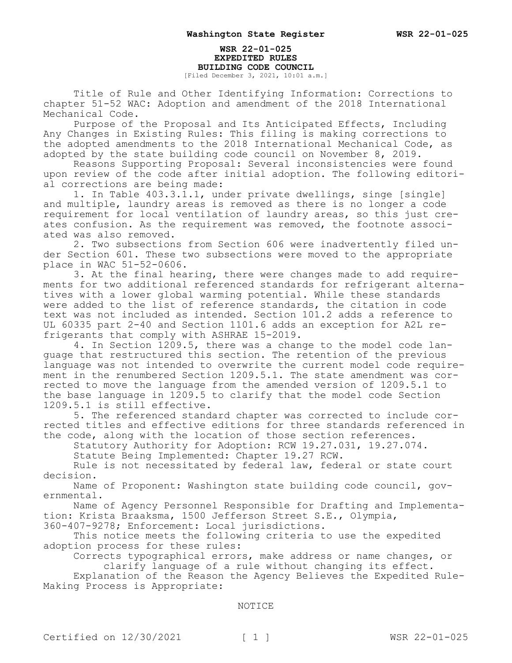## **WSR 22-01-025 EXPEDITED RULES BUILDING CODE COUNCIL**

[Filed December 3, 2021, 10:01 a.m.]

Title of Rule and Other Identifying Information: Corrections to chapter 51-52 WAC: Adoption and amendment of the 2018 International Mechanical Code.

Purpose of the Proposal and Its Anticipated Effects, Including Any Changes in Existing Rules: This filing is making corrections to the adopted amendments to the 2018 International Mechanical Code, as adopted by the state building code council on November 8, 2019.

Reasons Supporting Proposal: Several inconsistencies were found upon review of the code after initial adoption. The following editorial corrections are being made:

1. In Table 403.3.1.1, under private dwellings, singe [single] and multiple, laundry areas is removed as there is no longer a code requirement for local ventilation of laundry areas, so this just creates confusion. As the requirement was removed, the footnote associated was also removed.

2. Two subsections from Section 606 were inadvertently filed under Section 601. These two subsections were moved to the appropriate place in WAC 51-52-0606.

3. At the final hearing, there were changes made to add requirements for two additional referenced standards for refrigerant alternatives with a lower global warming potential. While these standards were added to the list of reference standards, the citation in code text was not included as intended. Section 101.2 adds a reference to UL 60335 part 2-40 and Section 1101.6 adds an exception for A2L refrigerants that comply with ASHRAE 15-2019.

4. In Section 1209.5, there was a change to the model code language that restructured this section. The retention of the previous language was not intended to overwrite the current model code requirement in the renumbered Section 1209.5.1. The state amendment was corrected to move the language from the amended version of 1209.5.1 to the base language in 1209.5 to clarify that the model code Section 1209.5.1 is still effective.

5. The referenced standard chapter was corrected to include corrected titles and effective editions for three standards referenced in the code, along with the location of those section references.

Statutory Authority for Adoption: RCW 19.27.031, 19.27.074. Statute Being Implemented: Chapter 19.27 RCW.

Rule is not necessitated by federal law, federal or state court decision.

Name of Proponent: Washington state building code council, governmental.

Name of Agency Personnel Responsible for Drafting and Implementation: Krista Braaksma, 1500 Jefferson Street S.E., Olympia,

360-407-9278; Enforcement: Local jurisdictions.

This notice meets the following criteria to use the expedited adoption process for these rules:

Corrects typographical errors, make address or name changes, or clarify language of a rule without changing its effect.

Explanation of the Reason the Agency Believes the Expedited Rule-Making Process is Appropriate:

#### NOTICE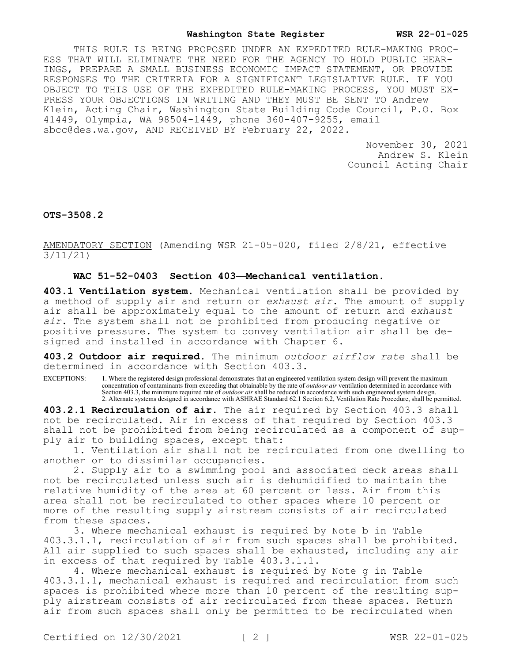THIS RULE IS BEING PROPOSED UNDER AN EXPEDITED RULE-MAKING PROC-ESS THAT WILL ELIMINATE THE NEED FOR THE AGENCY TO HOLD PUBLIC HEAR-INGS, PREPARE A SMALL BUSINESS ECONOMIC IMPACT STATEMENT, OR PROVIDE RESPONSES TO THE CRITERIA FOR A SIGNIFICANT LEGISLATIVE RULE. IF YOU OBJECT TO THIS USE OF THE EXPEDITED RULE-MAKING PROCESS, YOU MUST EX-PRESS YOUR OBJECTIONS IN WRITING AND THEY MUST BE SENT TO Andrew Klein, Acting Chair, Washington State Building Code Council, P.O. Box 41449, Olympia, WA 98504-1449, phone 360-407-9255, email sbcc@des.wa.gov, AND RECEIVED BY February 22, 2022.

> November 30, 2021 Andrew S. Klein Council Acting Chair

**OTS-3508.2**

AMENDATORY SECTION (Amending WSR 21-05-020, filed 2/8/21, effective 3/11/21)

#### **WAC 51-52-0403 Section 403—Mechanical ventilation.**

**403.1 Ventilation system.** Mechanical ventilation shall be provided by a method of supply air and return or *exhaust air*. The amount of supply air shall be approximately equal to the amount of return and *exhaust air*. The system shall not be prohibited from producing negative or positive pressure. The system to convey ventilation air shall be designed and installed in accordance with Chapter 6.

**403.2 Outdoor air required.** The minimum *outdoor airflow rate* shall be determined in accordance with Section 403.3.

EXCEPTIONS: 1. Where the registered design professional demonstrates that an engineered ventilation system design will prevent the maximum concentration of contaminants from exceeding that obtainable by the rate of *outdoor air* ventilation determined in accordance with Section 403.3, the minimum required rate of *outdoor air* shall be reduced in accordance with such engineered system design. 2. Alternate systems designed in accordance with ASHRAE Standard 62.1 Section 6.2, Ventilation Rate Procedure, shall be permitted.

**403.2.1 Recirculation of air.** The air required by Section 403.3 shall not be recirculated. Air in excess of that required by Section 403.3 shall not be prohibited from being recirculated as a component of supply air to building spaces, except that:

1. Ventilation air shall not be recirculated from one dwelling to another or to dissimilar occupancies.

2. Supply air to a swimming pool and associated deck areas shall not be recirculated unless such air is dehumidified to maintain the relative humidity of the area at 60 percent or less. Air from this area shall not be recirculated to other spaces where 10 percent or more of the resulting supply airstream consists of air recirculated from these spaces.

3. Where mechanical exhaust is required by Note b in Table 403.3.1.1, recirculation of air from such spaces shall be prohibited. All air supplied to such spaces shall be exhausted, including any air in excess of that required by Table 403.3.1.1.

4. Where mechanical exhaust is required by Note g in Table 403.3.1.1, mechanical exhaust is required and recirculation from such spaces is prohibited where more than 10 percent of the resulting supply airstream consists of air recirculated from these spaces. Return air from such spaces shall only be permitted to be recirculated when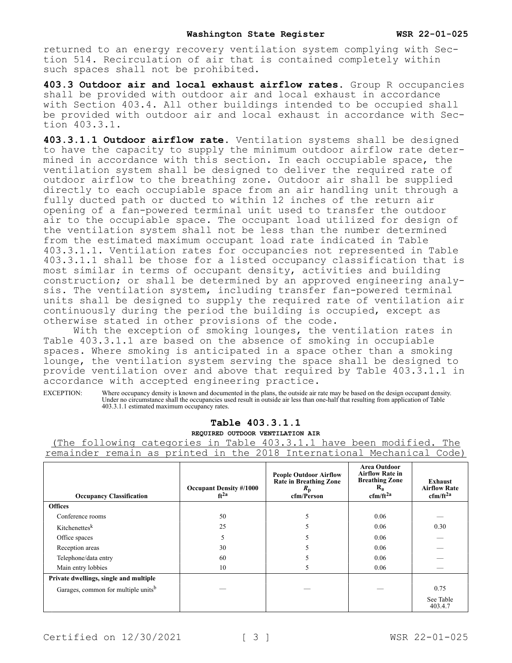returned to an energy recovery ventilation system complying with Section 514. Recirculation of air that is contained completely within such spaces shall not be prohibited.

**403.3 Outdoor air and local exhaust airflow rates.** Group R occupancies shall be provided with outdoor air and local exhaust in accordance with Section 403.4. All other buildings intended to be occupied shall be provided with outdoor air and local exhaust in accordance with Section 403.3.1.

**403.3.1.1 Outdoor airflow rate.** Ventilation systems shall be designed to have the capacity to supply the minimum outdoor airflow rate determined in accordance with this section. In each occupiable space, the ventilation system shall be designed to deliver the required rate of outdoor airflow to the breathing zone. Outdoor air shall be supplied directly to each occupiable space from an air handling unit through a fully ducted path or ducted to within 12 inches of the return air opening of a fan-powered terminal unit used to transfer the outdoor air to the occupiable space. The occupant load utilized for design of the ventilation system shall not be less than the number determined from the estimated maximum occupant load rate indicated in Table 403.3.1.1. Ventilation rates for occupancies not represented in Table 403.3.1.1 shall be those for a listed occupancy classification that is most similar in terms of occupant density, activities and building construction; or shall be determined by an approved engineering analysis. The ventilation system, including transfer fan-powered terminal units shall be designed to supply the required rate of ventilation air continuously during the period the building is occupied, except as otherwise stated in other provisions of the code.

With the exception of smoking lounges, the ventilation rates in Table 403.3.1.1 are based on the absence of smoking in occupiable spaces. Where smoking is anticipated in a space other than a smoking lounge, the ventilation system serving the space shall be designed to provide ventilation over and above that required by Table 403.3.1.1 in accordance with accepted engineering practice.

EXCEPTION: Where occupancy density is known and documented in the plans, the outside air rate may be based on the design occupant density. Under no circumstance shall the occupancies used result in outside air less than one-half that resulting from application of Table 403.3.1.1 estimated maximum occupancy rates.

## **Table 403.3.1.1**

**REQUIRED OUTDOOR VENTILATION AIR**

(The following categories in Table 403.3.1.1 have been modified. The remainder remain as printed in the 2018 International Mechanical Code)

| <b>Occupancy Classification</b>                 | <b>Occupant Density #/1000</b><br>$ft^{2a}$ | <b>People Outdoor Airflow</b><br>Rate in Breathing Zone<br>$R_{\rm p}$<br>cfm/Person | <b>Area Outdoor</b><br><b>Airflow Rate in</b><br><b>Breathing Zone</b><br>$R_{a}$<br>$cfm/ft^{2a}$ | <b>Exhaust</b><br><b>Airflow Rate</b><br>$cfm/ft^{2a}$ |
|-------------------------------------------------|---------------------------------------------|--------------------------------------------------------------------------------------|----------------------------------------------------------------------------------------------------|--------------------------------------------------------|
| <b>Offices</b>                                  |                                             |                                                                                      |                                                                                                    |                                                        |
| Conference rooms                                | 50                                          | 5                                                                                    | 0.06                                                                                               |                                                        |
| Kitchenettesk                                   | 25                                          |                                                                                      | 0.06                                                                                               | 0.30                                                   |
| Office spaces                                   |                                             |                                                                                      | 0.06                                                                                               |                                                        |
| Reception areas                                 | 30                                          |                                                                                      | 0.06                                                                                               |                                                        |
| Telephone/data entry                            | 60                                          |                                                                                      | 0.06                                                                                               |                                                        |
| Main entry lobbies                              | 10                                          | 5                                                                                    | 0.06                                                                                               |                                                        |
| Private dwellings, single and multiple          |                                             |                                                                                      |                                                                                                    |                                                        |
| Garages, common for multiple units <sup>b</sup> |                                             |                                                                                      |                                                                                                    | 0.75                                                   |
|                                                 |                                             |                                                                                      |                                                                                                    | See Table<br>403.4.7                                   |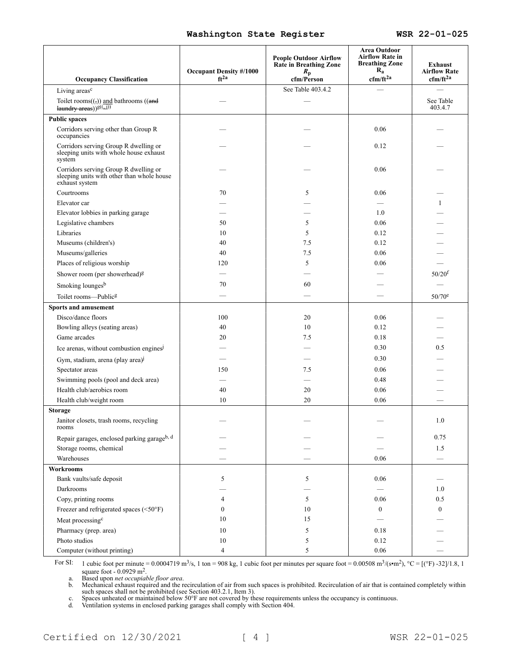|                                                                                                       | <b>Occupant Density #/1000</b> | <b>People Outdoor Airflow</b><br><b>Rate in Breathing Zone</b> | Area Outdoor<br><b>Airflow Rate in</b><br><b>Breathing Zone</b><br>$R_{a}$ | <b>Exhaust</b><br><b>Airflow Rate</b> |
|-------------------------------------------------------------------------------------------------------|--------------------------------|----------------------------------------------------------------|----------------------------------------------------------------------------|---------------------------------------|
| <b>Occupancy Classification</b>                                                                       | $ft^{2a}$                      | $R_{\rm p}$<br>cfm/Person                                      | $cfm/ft^{2a}$                                                              | $cfm/ft^{2a}$                         |
| Living areas <sup>c</sup>                                                                             |                                | See Table 403.4.2                                              |                                                                            |                                       |
| Toilet rooms $((\frac{1}{2}))$ and bathrooms ((and<br>laundry areas)) <sup>g((1)</sup> )              |                                |                                                                |                                                                            | See Table<br>403.4.7                  |
| <b>Public spaces</b>                                                                                  |                                |                                                                |                                                                            |                                       |
| Corridors serving other than Group R<br>occupancies                                                   |                                |                                                                | 0.06                                                                       |                                       |
| Corridors serving Group R dwelling or<br>sleeping units with whole house exhaust<br>system            |                                |                                                                | 0.12                                                                       |                                       |
| Corridors serving Group R dwelling or<br>sleeping units with other than whole house<br>exhaust system |                                |                                                                | 0.06                                                                       |                                       |
| Courtrooms                                                                                            | 70                             | 5                                                              | 0.06                                                                       |                                       |
| Elevator car                                                                                          |                                |                                                                |                                                                            |                                       |
| Elevator lobbies in parking garage                                                                    |                                |                                                                | 1.0                                                                        |                                       |
| Legislative chambers                                                                                  | 50                             | 5                                                              | 0.06                                                                       |                                       |
| Libraries                                                                                             | 10                             | 5                                                              | 0.12                                                                       |                                       |
| Museums (children's)                                                                                  | 40                             | 7.5                                                            | 0.12                                                                       |                                       |
| Museums/galleries                                                                                     | 40                             | 7.5                                                            | 0.06                                                                       |                                       |
| Places of religious worship                                                                           | 120                            | 5                                                              | 0.06                                                                       |                                       |
| Shower room (per showerhead) <sup>g</sup>                                                             |                                |                                                                |                                                                            | $50/20^{f}$                           |
| Smoking lounges <sup>b</sup>                                                                          | 70                             | 60                                                             |                                                                            |                                       |
| Toilet rooms-Publicg                                                                                  |                                |                                                                |                                                                            | 50/70 <sup>e</sup>                    |
| <b>Sports and amusement</b>                                                                           |                                |                                                                |                                                                            |                                       |
| Disco/dance floors                                                                                    | 100                            | 20                                                             | 0.06                                                                       |                                       |
| Bowling alleys (seating areas)                                                                        | 40                             | 10                                                             | 0.12                                                                       |                                       |
| Game arcades                                                                                          | 20                             | 7.5                                                            | 0.18                                                                       |                                       |
| Ice arenas, without combustion engines <sup>j</sup>                                                   |                                |                                                                | 0.30                                                                       | 0.5                                   |
| Gym, stadium, arena (play area) <sup>1</sup>                                                          |                                |                                                                | 0.30                                                                       |                                       |
| Spectator areas                                                                                       | 150                            | 7.5                                                            | 0.06                                                                       |                                       |
| Swimming pools (pool and deck area)                                                                   |                                |                                                                | 0.48                                                                       |                                       |
| Health club/aerobics room                                                                             | 40                             | 20                                                             | 0.06                                                                       |                                       |
| Health club/weight room                                                                               | 10                             | 20                                                             | 0.06                                                                       |                                       |
| <b>Storage</b>                                                                                        |                                |                                                                |                                                                            |                                       |
| Janitor closets, trash rooms, recycling<br>rooms                                                      |                                |                                                                |                                                                            | 1.0                                   |
| Repair garages, enclosed parking garageb, d                                                           |                                |                                                                |                                                                            | 0.75                                  |
| Storage rooms, chemical                                                                               |                                |                                                                |                                                                            | 1.5                                   |
| Warehouses                                                                                            |                                |                                                                | 0.06                                                                       |                                       |
| <b>Workrooms</b>                                                                                      |                                |                                                                |                                                                            |                                       |
| Bank vaults/safe deposit                                                                              | 5                              | 5                                                              | 0.06                                                                       |                                       |
| Darkrooms                                                                                             |                                |                                                                |                                                                            | 1.0                                   |
| Copy, printing rooms                                                                                  | 4                              | 5                                                              | 0.06                                                                       | 0.5                                   |
| Freezer and refrigerated spaces (<50°F)                                                               | $\Omega$                       | 10                                                             | $\boldsymbol{0}$                                                           | $\mathbf{0}$                          |
| Meat processing <sup>c</sup>                                                                          | 10                             | 15                                                             |                                                                            |                                       |
| Pharmacy (prep. area)                                                                                 | 10                             | 5                                                              | 0.18                                                                       |                                       |
| Photo studios                                                                                         | 10                             | 5                                                              | 0.12                                                                       |                                       |
| Computer (without printing)                                                                           | 4                              | 5                                                              | $0.06\,$                                                                   |                                       |

For SI: 1 cubic foot per minute = 0.0004719 m<sup>3</sup>/s, 1 ton = 908 kg, 1 cubic foot per minutes per square foot = 0.00508 m<sup>3</sup>/(s•m<sup>2</sup>), °C = [(°F) -32]/1.8, 1 square foot -  $0.0929 \text{ m}^2$ .

a. Based upon *net occupiable floor area*.

b. Mechanical exhaust required and the recirculation of air from such spaces is prohibited. Recirculation of air that is contained completely within such spaces shall not be prohibited (see Section 403.2.1, Item 3).

c. Spaces unheated or maintained below 50°F are not covered by these requirements unless the occupancy is continuous.

d. Ventilation systems in enclosed parking garages shall comply with Section 404.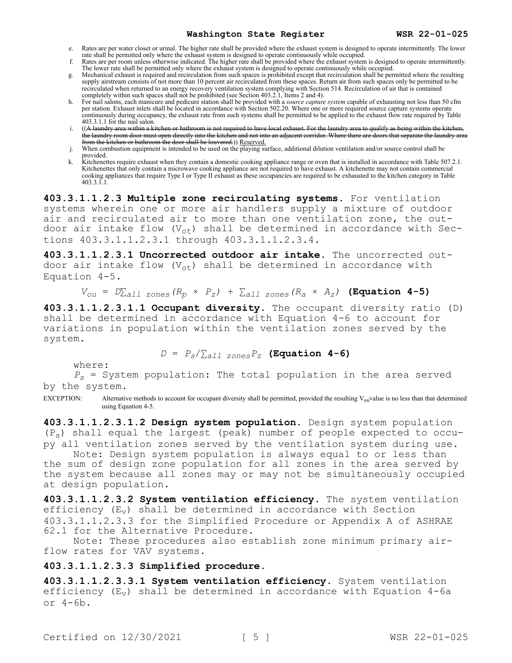- e. Rates are per water closet or urinal. The higher rate shall be provided where the exhaust system is designed to operate intermittently. The lower rate shall be permitted only where the exhaust system is designed to operate continuously while occupied.
- f. Rates are per room unless otherwise indicated. The higher rate shall be provided where the exhaust system is designed to operate intermittently. The lower rate shall be permitted only where the exhaust system is designed to operate continuously while occupied.
- Mechanical exhaust is required and recirculation from such spaces is prohibited except that recirculation shall be permitted where the resulting supply airstream consists of not more than 10 percent air recirculated from these spaces. Return air from such spaces only be permitted to be recirculated when returned to an energy recovery ventilation system complying with Section 514. Recirculation of air that is contained completely within such spaces shall not be prohibited (see Section 403.2.1, Items 2 and 4).
- h. For nail salons, each manicure and pedicure station shall be provided with a *source capture system* capable of exhausting not less than 50 cfm per station. Exhaust inlets shall be located in accordance with Section 502.20. Where one or more required source capture systems operate continuously during occupancy, the exhaust rate from such systems shall be permitted to be applied to the exhaust flow rate required by Table 403.3.1.1 for the nail salon.
- i. ((A laundry area within a kitchen or bathroom is not required to have local exhaust. For the laundry area to qualify as being within the the laundry room door must open directly into the kitchen and not into an adjacent corridor. Where there are doors that separate the laundry area from the kitchen or bathroom the door shall be louvered.)) Reserved.
- j. When combustion equipment is intended to be used on the playing surface, additional dilution ventilation and/or source control shall be provided.
- k. Kitchenettes require exhaust when they contain a domestic cooking appliance range or oven that is installed in accordance with Table 507.2.1. Kitchenettes that only contain a microwave cooking appliance are not required to have exhaust. A kitchenette may not contain commercial cooking appliances that require Type I or Type II exhaust as these occupancies are required to be exhausted to the kitchen category in Table cooking appliances that require Type I or Type II exhaust as these occupancies are required to be exhausted to the kitchen category in Table 403.3.1.1.

**403.3.1.1.2.3 Multiple zone recirculating systems.** For ventilation systems wherein one or more air handlers supply a mixture of outdoor air and recirculated air to more than one ventilation zone, the outdoor air intake flow  $(V_{ot})$  shall be determined in accordance with Sections 403.3.1.1.2.3.1 through 403.3.1.1.2.3.4.

**403.3.1.1.2.3.1 Uncorrected outdoor air intake.** The uncorrected outdoor air intake flow  $(V_{ot})$  shall be determined in accordance with Equation 4-5.

$$
V_{ou} = D_{\text{Lall zones}}(R_p \times P_z) + \sum_{all zones} (R_a \times A_z)
$$
 (Equation 4-5)

**403.3.1.1.2.3.1.1 Occupant diversity.** The occupant diversity ratio (D) shall be determined in accordance with Equation 4-6 to account for variations in population within the ventilation zones served by the system.

 $D = P_s / \sum_{all \text{ zones}} P_z$  **(Equation 4-6)** 

where:

*Ps* = System population: The total population in the area served by the system.

EXCEPTION: Alternative methods to account for occupant diversity shall be permitted, provided the resulting  $V_{\text{ou}}$ value is no less than that determined using Equation 4-5.

**403.3.1.1.2.3.1.2 Design system population.** Design system population (Ps) shall equal the largest (peak) number of people expected to occupy all ventilation zones served by the ventilation system during use.

Note: Design system population is always equal to or less than the sum of design zone population for all zones in the area served by the system because all zones may or may not be simultaneously occupied at design population.

**403.3.1.1.2.3.2 System ventilation efficiency.** The system ventilation efficiency  $(E_v)$  shall be determined in accordance with Section 403.3.1.1.2.3.3 for the Simplified Procedure or Appendix A of ASHRAE 62.1 for the Alternative Procedure.

Note: These procedures also establish zone minimum primary airflow rates for VAV systems.

## **403.3.1.1.2.3.3 Simplified procedure.**

**403.3.1.1.2.3.3.1 System ventilation efficiency.** System ventilation efficiency  $(E_v)$  shall be determined in accordance with Equation 4-6a or 4-6b.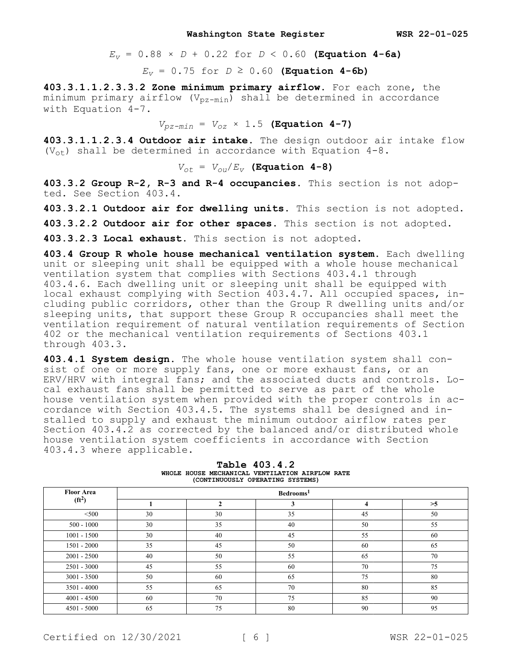$E_v = 0.88 \times D + 0.22$  for  $D < 0.60$  (Equation 4-6a)

*E*<sup>*v*</sup> = 0.75 for *D* ≥ 0.60 **(Equation 4-6b)** 

**403.3.1.1.2.3.3.2 Zone minimum primary airflow.** For each zone, the minimum primary airflow  $(V_{pz-min})$  shall be determined in accordance with Equation 4-7.

 $V_{pz-min} = V_{oz} \times 1.5$  **(Equation 4-7)** 

**403.3.1.1.2.3.4 Outdoor air intake.** The design outdoor air intake flow ( $V_{\text{ot}}$ ) shall be determined in accordance with Equation 4-8.

 $V_{ot}$  =  $V_{ou}/E_V$  **(Equation 4-8)** 

**403.3.2 Group R-2, R-3 and R-4 occupancies.** This section is not adopted. See Section 403.4.

**403.3.2.1 Outdoor air for dwelling units.** This section is not adopted.

**403.3.2.2 Outdoor air for other spaces.** This section is not adopted.

**403.3.2.3 Local exhaust.** This section is not adopted.

**403.4 Group R whole house mechanical ventilation system.** Each dwelling unit or sleeping unit shall be equipped with a whole house mechanical ventilation system that complies with Sections 403.4.1 through 403.4.6. Each dwelling unit or sleeping unit shall be equipped with local exhaust complying with Section 403.4.7. All occupied spaces, including public corridors, other than the Group R dwelling units and/or sleeping units, that support these Group R occupancies shall meet the ventilation requirement of natural ventilation requirements of Section 402 or the mechanical ventilation requirements of Sections 403.1 through 403.3.

**403.4.1 System design.** The whole house ventilation system shall consist of one or more supply fans, one or more exhaust fans, or an ERV/HRV with integral fans; and the associated ducts and controls. Local exhaust fans shall be permitted to serve as part of the whole house ventilation system when provided with the proper controls in accordance with Section 403.4.5. The systems shall be designed and installed to supply and exhaust the minimum outdoor airflow rates per Section 403.4.2 as corrected by the balanced and/or distributed whole house ventilation system coefficients in accordance with Section 403.4.3 where applicable.

| <b>Floor Area</b>  | Bedrooms <sup>1</sup> |                    |    |    |      |
|--------------------|-----------------------|--------------------|----|----|------|
| (ft <sup>2</sup> ) |                       | $\mathbf{\hat{z}}$ | 3  |    | $>5$ |
| $500$              | 30                    | 30                 | 35 | 45 | 50   |
| $500 - 1000$       | 30                    | 35                 | 40 | 50 | 55   |
| $1001 - 1500$      | 30                    | 40                 | 45 | 55 | 60   |
| $1501 - 2000$      | 35                    | 45                 | 50 | 60 | 65   |
| $2001 - 2500$      | 40                    | 50                 | 55 | 65 | 70   |
| $2501 - 3000$      | 45                    | 55                 | 60 | 70 | 75   |
| $3001 - 3500$      | 50                    | 60                 | 65 | 75 | 80   |
| $3501 - 4000$      | 55                    | 65                 | 70 | 80 | 85   |
| $4001 - 4500$      | 60                    | 70                 | 75 | 85 | 90   |
| $4501 - 5000$      | 65                    | 75                 | 80 | 90 | 95   |

**Table 403.4.2 WHOLE HOUSE MECHANICAL VENTILATION AIRFLOW RATE (CONTINUOUSLY OPERATING SYSTEMS)**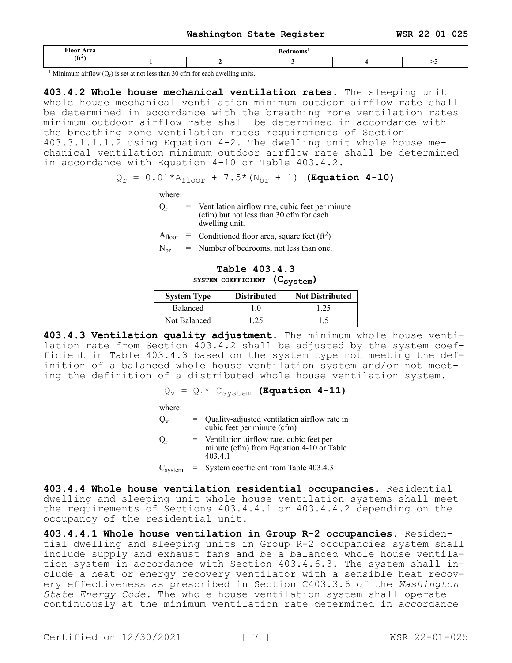| Floor<br>A roo |  |  |  |
|----------------|--|--|--|
| .              |  |  |  |

<sup>1</sup> Minimum airflow  $(Q_r)$  is set at not less than 30 cfm for each dwelling units.

**403.4.2 Whole house mechanical ventilation rates.** The sleeping unit whole house mechanical ventilation minimum outdoor airflow rate shall be determined in accordance with the breathing zone ventilation rates minimum outdoor airflow rate shall be determined in accordance with the breathing zone ventilation rates requirements of Section 403.3.1.1.1.2 using Equation 4-2. The dwelling unit whole house mechanical ventilation minimum outdoor airflow rate shall be determined in accordance with Equation 4-10 or Table 403.4.2.

# $Q_r = 0.01 * A_{floor} + 7.5 * (N_{br} + 1)$  (Equation 4-10)

where:

- $Q_r$  = Ventilation airflow rate, cubic feet per minute (cfm) but not less than 30 cfm for each dwelling unit.
- $A_{floor}$  = Conditioned floor area, square feet (ft<sup>2</sup>)
- $N<sub>br</sub> = Number of bedrooms, not less than one.$

# **Table 403.4.3 SYSTEM COEFFICIENT (Csystem)**

| <b>System Type</b> | <b>Distributed</b> | <b>Not Distributed</b> |
|--------------------|--------------------|------------------------|
| Balanced           |                    | 1.25                   |
| Not Balanced       | 25                 |                        |

**403.4.3 Ventilation quality adjustment.** The minimum whole house ventilation rate from Section 403.4.2 shall be adjusted by the system coefficient in Table 403.4.3 based on the system type not meeting the definition of a balanced whole house ventilation system and/or not meeting the definition of a distributed whole house ventilation system.

$$
Q_v = Q_r * C_{system}
$$
 (Equation 4-11)

where:

- $Q_v$  = Quality-adjusted ventilation airflow rate in cubic feet per minute (cfm)
- $Q_r$  = Ventilation airflow rate, cubic feet per minute (cfm) from Equation 4-10 or Table 403.4.1

 $C<sub>system</sub>$  = System coefficient from Table 403.4.3

**403.4.4 Whole house ventilation residential occupancies.** Residential dwelling and sleeping unit whole house ventilation systems shall meet the requirements of Sections 403.4.4.1 or 403.4.4.2 depending on the occupancy of the residential unit.

**403.4.4.1 Whole house ventilation in Group R-2 occupancies.** Residential dwelling and sleeping units in Group R-2 occupancies system shall include supply and exhaust fans and be a balanced whole house ventilation system in accordance with Section 403.4.6.3. The system shall include a heat or energy recovery ventilator with a sensible heat recovery effectiveness as prescribed in Section C403.3.6 of the *Washington State Energy Code*. The whole house ventilation system shall operate continuously at the minimum ventilation rate determined in accordance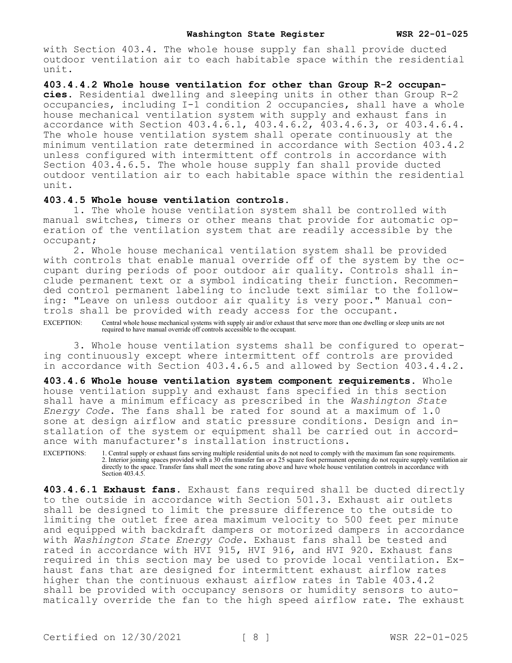with Section 403.4. The whole house supply fan shall provide ducted outdoor ventilation air to each habitable space within the residential unit.

**403.4.4.2 Whole house ventilation for other than Group R-2 occupancies.** Residential dwelling and sleeping units in other than Group R-2 occupancies, including I-1 condition 2 occupancies, shall have a whole house mechanical ventilation system with supply and exhaust fans in accordance with Section 403.4.6.1, 403.4.6.2, 403.4.6.3, or 403.4.6.4. The whole house ventilation system shall operate continuously at the minimum ventilation rate determined in accordance with Section 403.4.2 unless configured with intermittent off controls in accordance with Section 403.4.6.5. The whole house supply fan shall provide ducted outdoor ventilation air to each habitable space within the residential unit.

## **403.4.5 Whole house ventilation controls.**

1. The whole house ventilation system shall be controlled with manual switches, timers or other means that provide for automatic operation of the ventilation system that are readily accessible by the occupant;

2. Whole house mechanical ventilation system shall be provided with controls that enable manual override off of the system by the occupant during periods of poor outdoor air quality. Controls shall include permanent text or a symbol indicating their function. Recommended control permanent labeling to include text similar to the following: "Leave on unless outdoor air quality is very poor." Manual controls shall be provided with ready access for the occupant.

EXCEPTION: Central whole house mechanical systems with supply air and/or exhaust that serve more than one dwelling or sleep units are not required to have manual override off controls accessible to the occupant.

3. Whole house ventilation systems shall be configured to operating continuously except where intermittent off controls are provided in accordance with Section 403.4.6.5 and allowed by Section 403.4.4.2.

**403.4.6 Whole house ventilation system component requirements.** Whole house ventilation supply and exhaust fans specified in this section shall have a minimum efficacy as prescribed in the *Washington State Energy Code*. The fans shall be rated for sound at a maximum of 1.0 sone at design airflow and static pressure conditions. Design and installation of the system or equipment shall be carried out in accordance with manufacturer's installation instructions.

EXCEPTIONS: 1. Central supply or exhaust fans serving multiple residential units do not need to comply with the maximum fan sone requirements. 2. Interior joining spaces provided with a 30 cfm transfer fan or a 25 square foot permanent opening do not require supply ventilation air directly to the space. Transfer fans shall meet the sone rating above and have whole house ventilation controls in accordance with Section 403.4.5.

**403.4.6.1 Exhaust fans.** Exhaust fans required shall be ducted directly to the outside in accordance with Section 501.3. Exhaust air outlets shall be designed to limit the pressure difference to the outside to limiting the outlet free area maximum velocity to 500 feet per minute and equipped with backdraft dampers or motorized dampers in accordance with *Washington State Energy Code*. Exhaust fans shall be tested and rated in accordance with HVI 915, HVI 916, and HVI 920. Exhaust fans required in this section may be used to provide local ventilation. Exhaust fans that are designed for intermittent exhaust airflow rates higher than the continuous exhaust airflow rates in Table 403.4.2 shall be provided with occupancy sensors or humidity sensors to automatically override the fan to the high speed airflow rate. The exhaust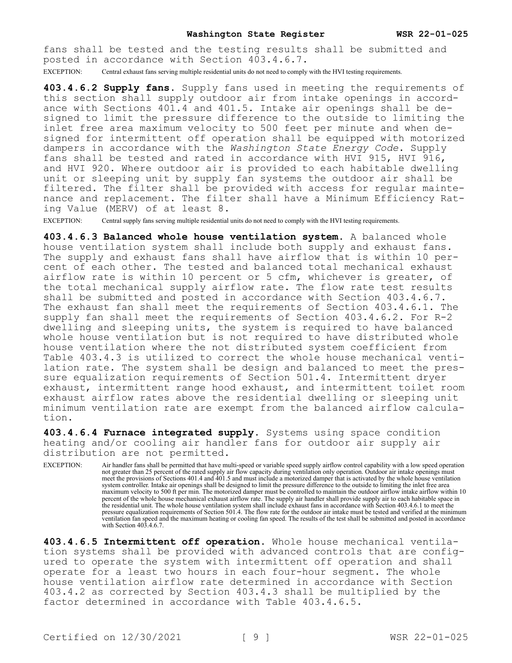fans shall be tested and the testing results shall be submitted and posted in accordance with Section 403.4.6.7.

EXCEPTION: Central exhaust fans serving multiple residential units do not need to comply with the HVI testing requirements.

**403.4.6.2 Supply fans.** Supply fans used in meeting the requirements of this section shall supply outdoor air from intake openings in accordance with Sections 401.4 and 401.5. Intake air openings shall be designed to limit the pressure difference to the outside to limiting the inlet free area maximum velocity to 500 feet per minute and when designed for intermittent off operation shall be equipped with motorized dampers in accordance with the *Washington State Energy Code*. Supply fans shall be tested and rated in accordance with HVI 915, HVI 916, and HVI 920. Where outdoor air is provided to each habitable dwelling unit or sleeping unit by supply fan systems the outdoor air shall be filtered. The filter shall be provided with access for regular maintenance and replacement. The filter shall have a Minimum Efficiency Rating Value (MERV) of at least 8.

EXCEPTION: Central supply fans serving multiple residential units do not need to comply with the HVI testing requirements.

**403.4.6.3 Balanced whole house ventilation system.** A balanced whole house ventilation system shall include both supply and exhaust fans. The supply and exhaust fans shall have airflow that is within 10 percent of each other. The tested and balanced total mechanical exhaust airflow rate is within 10 percent or 5 cfm, whichever is greater, of the total mechanical supply airflow rate. The flow rate test results shall be submitted and posted in accordance with Section 403.4.6.7. The exhaust fan shall meet the requirements of Section 403.4.6.1. The supply fan shall meet the requirements of Section 403.4.6.2. For R-2 dwelling and sleeping units, the system is required to have balanced whole house ventilation but is not required to have distributed whole house ventilation where the not distributed system coefficient from Table 403.4.3 is utilized to correct the whole house mechanical ventilation rate. The system shall be design and balanced to meet the pressure equalization requirements of Section 501.4. Intermittent dryer exhaust, intermittent range hood exhaust, and intermittent toilet room exhaust airflow rates above the residential dwelling or sleeping unit minimum ventilation rate are exempt from the balanced airflow calculation.

**403.4.6.4 Furnace integrated supply.** Systems using space condition heating and/or cooling air handler fans for outdoor air supply air distribution are not permitted.

EXCEPTION: Air handler fans shall be permitted that have multi-speed or variable speed supply airflow control capability with a low speed operation not greater than 25 percent of the rated supply air flow capacity during ventilation only operation. Outdoor air intake openings must meet the provisions of Sections 401.4 and 401.5 and must include a motorized damper that is activated by the whole house ventilation system controller. Intake air openings shall be designed to limit the pressure difference to the outside to limiting the inlet free area maximum velocity to 500 ft per min. The motorized damper must be controlled to maintain the outdoor airflow intake airflow within 10 percent of the whole house mechanical exhaust airflow rate. The supply air handler shall provide supply air to each habitable space in the residential unit. The whole house ventilation system shall include exhaust fans in accordance with Section 403.4.6.1 to meet the pressure equalization requirements of Section 501.4. The flow rate for the outdoor air intake must be tested and verified at the minimum ventilation fan speed and the maximum heating or cooling fan speed. The results of the test shall be submitted and posted in accordance with Section 403.4.6.7.

**403.4.6.5 Intermittent off operation.** Whole house mechanical ventilation systems shall be provided with advanced controls that are configured to operate the system with intermittent off operation and shall operate for a least two hours in each four-hour segment. The whole house ventilation airflow rate determined in accordance with Section 403.4.2 as corrected by Section 403.4.3 shall be multiplied by the factor determined in accordance with Table 403.4.6.5.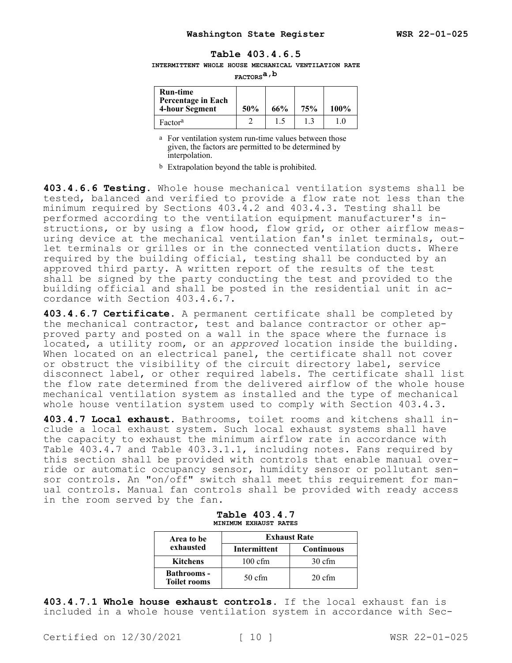## **Table 403.4.6.5**

**INTERMITTENT WHOLE HOUSE MECHANICAL VENTILATION RATE** 

**FACTORSa,b**

| <b>Run-time</b><br>Percentage in Each<br>4-hour Segment | 50% | 66% | 75% | 100% |
|---------------------------------------------------------|-----|-----|-----|------|
| Factor <sup>a</sup>                                     |     | 1.5 |     |      |

a For ventilation system run-time values between those given, the factors are permitted to be determined by interpolation.

b Extrapolation beyond the table is prohibited.

**403.4.6.6 Testing.** Whole house mechanical ventilation systems shall be tested, balanced and verified to provide a flow rate not less than the minimum required by Sections 403.4.2 and 403.4.3. Testing shall be performed according to the ventilation equipment manufacturer's instructions, or by using a flow hood, flow grid, or other airflow measuring device at the mechanical ventilation fan's inlet terminals, outlet terminals or grilles or in the connected ventilation ducts. Where required by the building official, testing shall be conducted by an approved third party. A written report of the results of the test shall be signed by the party conducting the test and provided to the building official and shall be posted in the residential unit in accordance with Section 403.4.6.7.

**403.4.6.7 Certificate.** A permanent certificate shall be completed by the mechanical contractor, test and balance contractor or other approved party and posted on a wall in the space where the furnace is located, a utility room, or an *approved* location inside the building. When located on an electrical panel, the certificate shall not cover or obstruct the visibility of the circuit directory label, service disconnect label, or other required labels. The certificate shall list the flow rate determined from the delivered airflow of the whole house mechanical ventilation system as installed and the type of mechanical whole house ventilation system used to comply with Section 403.4.3.

**403.4.7 Local exhaust.** Bathrooms, toilet rooms and kitchens shall include a local exhaust system. Such local exhaust systems shall have the capacity to exhaust the minimum airflow rate in accordance with Table 403.4.7 and Table 403.3.1.1, including notes. Fans required by this section shall be provided with controls that enable manual override or automatic occupancy sensor, humidity sensor or pollutant sensor controls. An "on/off" switch shall meet this requirement for manual controls. Manual fan controls shall be provided with ready access in the room served by the fan.

| Area to be                                | <b>Exhaust Rate</b> |                   |
|-------------------------------------------|---------------------|-------------------|
| exhausted                                 | Intermittent        | <b>Continuous</b> |
| <b>Kitchens</b>                           | $100 \text{ cfm}$   | $30 \text{ cfm}$  |
| <b>Bathrooms</b> -<br><b>Toilet rooms</b> | $50 \text{ cfm}$    | $20 \text{ cfm}$  |

| Table 403.4.7         |  |
|-----------------------|--|
| MINIMUM EXHAUST RATES |  |

**403.4.7.1 Whole house exhaust controls.** If the local exhaust fan is included in a whole house ventilation system in accordance with Sec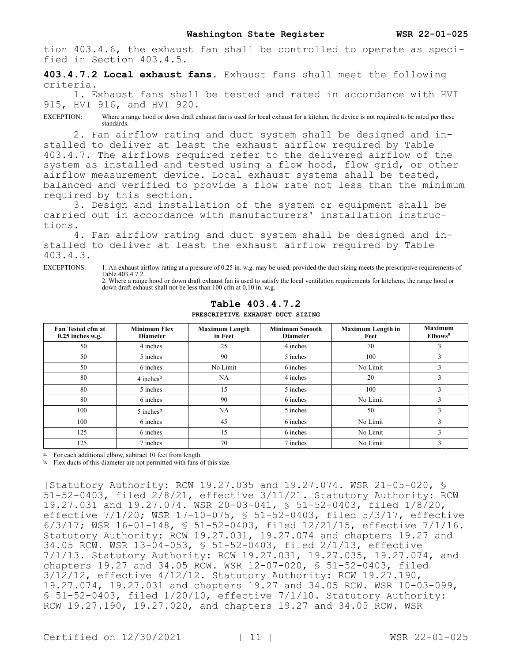tion 403.4.6, the exhaust fan shall be controlled to operate as specified in Section 403.4.5.

**403.4.7.2 Local exhaust fans.** Exhaust fans shall meet the following criteria.

1. Exhaust fans shall be tested and rated in accordance with HVI 915, HVI 916, and HVI 920.

EXCEPTION: Where a range hood or down draft exhaust fan is used for local exhaust for a kitchen, the device is not required to be rated per these standards.

2. Fan airflow rating and duct system shall be designed and installed to deliver at least the exhaust airflow required by Table 403.4.7. The airflows required refer to the delivered airflow of the system as installed and tested using a flow hood, flow grid, or other airflow measurement device. Local exhaust systems shall be tested, balanced and verified to provide a flow rate not less than the minimum required by this section.

3. Design and installation of the system or equipment shall be carried out in accordance with manufacturers' installation instructions.

4. Fan airflow rating and duct system shall be designed and installed to deliver at least the exhaust airflow required by Table 403.4.3.

EXCEPTIONS: 1. An exhaust airflow rating at a pressure of 0.25 in. w.g. may be used, provided the duct sizing meets the prescriptive requirements of Table 403.4.7.2. 2. Where a range hood or down draft exhaust fan is used to satisfy the local ventilation requirements for kitchens, the range hood or down draft exhaust shall not be less than 100 cfm at 0.10 in. w.g.

| Fan Tested cfm at<br>$0.25$ inches w.g. | <b>Minimum Flex</b><br><b>Diameter</b> | <b>Maximum Length</b><br>in Feet | <b>Minimum Smooth</b><br><b>Diameter</b> | <b>Maximum Length in</b><br>Feet | <b>Maximum</b><br>Elbows <sup>a</sup> |
|-----------------------------------------|----------------------------------------|----------------------------------|------------------------------------------|----------------------------------|---------------------------------------|
| 50                                      | 4 inches                               | 25                               | 4 inches                                 | 70                               | J.                                    |
| 50                                      | 5 inches                               | 90                               | 5 inches                                 | 100                              | 3                                     |
| 50                                      | 6 inches                               | No Limit                         | 6 inches                                 | No Limit                         | 3                                     |
| 80                                      | $4$ inches <sup>b</sup>                | NA                               | 4 inches                                 | 20                               |                                       |
| 80                                      | 5 inches                               | 15                               | 5 inches                                 | 100                              | 3                                     |
| 80                                      | 6 inches                               | 90                               | 6 inches                                 | No Limit                         | 3                                     |
| 100                                     | $5$ inches <sup>b</sup>                | NA                               | 5 inches                                 | 50                               | 3                                     |
| 100                                     | 6 inches                               | 45                               | 6 inches                                 | No Limit                         | 3                                     |
| 125                                     | 6 inches                               | 15                               | 6 inches                                 | No Limit                         | 3                                     |
| 125                                     | 7 inches                               | 70                               | 7 inches                                 | No Limit                         | 3                                     |

**Table 403.4.7.2**

**PRESCRIPTIVE EXHAUST DUCT SIZING**

a. For each additional elbow, subtract 10 feet from length.

b. Flex ducts of this diameter are not permitted with fans of this size.

[Statutory Authority: RCW 19.27.035 and 19.27.074. WSR 21-05-020, § 51-52-0403, filed  $2/8/21$ , effective  $3/11/21$ . Statutory Authority: RCW 19.27.031 and 19.27.074. WSR 20-03-041, § 51-52-0403, filed 1/8/20, effective 7/1/20; WSR 17-10-075, § 51-52-0403, filed 5/3/17, effective 6/3/17; WSR 16-01-148, § 51-52-0403, filed 12/21/15, effective 7/1/16. Statutory Authority: RCW 19.27.031, 19.27.074 and chapters 19.27 and 34.05 RCW. WSR 13-04-053, § 51-52-0403, filed 2/1/13, effective 7/1/13. Statutory Authority: RCW 19.27.031, 19.27.035, 19.27.074, and chapters 19.27 and 34.05 RCW. WSR 12-07-020, § 51-52-0403, filed 3/12/12, effective 4/12/12. Statutory Authority: RCW 19.27.190, 19.27.074, 19.27.031 and chapters 19.27 and 34.05 RCW. WSR 10-03-099, § 51-52-0403, filed  $1/20/10$ , effective  $7/1/10$ . Statutory Authority: RCW 19.27.190, 19.27.020, and chapters 19.27 and 34.05 RCW. WSR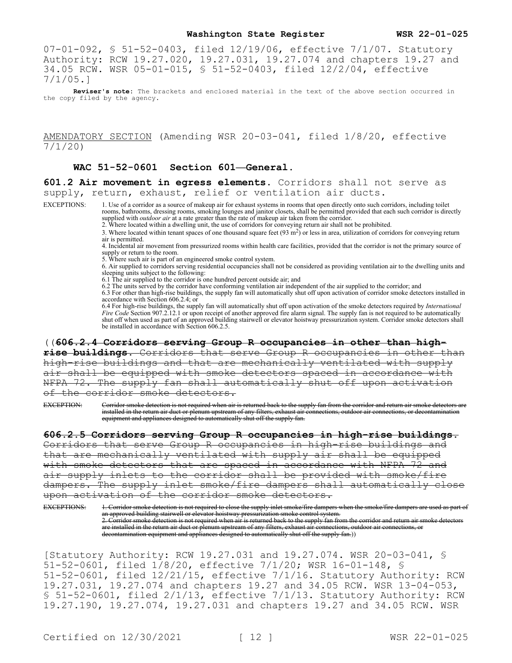07-01-092, § 51-52-0403, filed 12/19/06, effective 7/1/07. Statutory Authority: RCW 19.27.020, 19.27.031, 19.27.074 and chapters 19.27 and 34.05 RCW. WSR 05-01-015, § 51-52-0403, filed 12/2/04, effective 7/1/05.]

**Reviser's note:** The brackets and enclosed material in the text of the above section occurred in the copy filed by the agency.

## AMENDATORY SECTION (Amending WSR 20-03-041, filed 1/8/20, effective 7/1/20)

## **WAC 51-52-0601 Section 601—General.**

**601.2 Air movement in egress elements.** Corridors shall not serve as supply, return, exhaust, relief or ventilation air ducts.

EXCEPTIONS: 1. Use of a corridor as a source of makeup air for exhaust systems in rooms that open directly onto such corridors, including toilet rooms, bathrooms, dressing rooms, smoking lounges and janitor closets, shall be permitted provided that each such corridor is directly supplied with *outdoor air* at a rate greater than the rate of makeup air taken from the corridor.

2. Where located within a dwelling unit, the use of corridors for conveying return air shall not be prohibited.

3. Where located within tenant spaces of one thousand square feet  $(93 \text{ m}^2)$  or less in area, utilization of corridors for conveying return air is permitted.

4. Incidental air movement from pressurized rooms within health care facilities, provided that the corridor is not the primary source of supply or return to the room.

5. Where such air is part of an engineered smoke control system.

6. Air supplied to corridors serving residential occupancies shall not be considered as providing ventilation air to the dwelling units and sleeping units subject to the following:

6.1 The air supplied to the corridor is one hundred percent outside air; and

6.2 The units served by the corridor have conforming ventilation air independent of the air supplied to the corridor; and

6.3 For other than high-rise buildings, the supply fan will automatically shut off upon activation of corridor smoke detectors installed in accordance with Section 606.2.4; or

6.4 For high-rise buildings, the supply fan will automatically shut off upon activation of the smoke detectors required by *International Fire Code* Section 907.2.12.1 or upon receipt of another approved fire alarm signal. The supply fan is not required to be automatically shut off when used as part of an approved building stairwell or elevator hoistway pressurization system. Corridor smoke detectors shall be installed in accordance with Section 606.2.5.

((**606.2.4 Corridors serving Group R occupancies in other than highrise buildings.** Corridors that serve Group R occupancies in other than high-rise buildings and that are mechanically ventilated with supply air shall be equipped with smoke detectors spaced in accordance with NFPA 72. The supply fan shall automatically shut off upon activation of the corridor smoke detectors.

EXCEPTION: Corridor smoke detection is not required when air is returned back to the supply fan from the corridor and return air smoke detectors are installed in the return air duct or plenum upstream of any filters, exhaust air connections, outdoor air connections, or decontamination equipment and appliances designed to automatically shut off the supply fan.

**606.2.5 Corridors serving Group R occupancies in high-rise buildings.**  Corridors that serve Group R occupancies in high-rise buildings and that are mechanically ventilated with supply air shall be equipped<br>with smoke detectors that are spaced in accordance with NFPA 72 and with smoke detectors that are spaced in accordance with NFPA<br>air supply inlets to the corridor shall be provided with smo air supply inlets to the corridor shall be provided with smoke/fire dampers. The supply inlet smoke/fire dampers shall automatically close upon activation of the corridor smoke detectors.

EXCEPTIONS: 1. Corridor smoke detection is not required to close the supply inlet smoke/fire dampers when the smoke/fire dampers are used as part of an approved building stairwell or elevator hoistway pressurization smoke control system. 2. Corridor smoke detection is not required when air is returned back to the supply fan from the corridor and return air smoke detectors are installed in the return air duct or plenum upstream of any filters, exhaust air connections, outdoor air connections, or decontamination equipment and appliances designed to automatically shut off the supply fan.))

[Statutory Authority: RCW 19.27.031 and 19.27.074. WSR 20-03-041, §  $51-52-0601$ , filed  $1/8/20$ , effective 7/1/20; WSR 16-01-148, \$ 51-52-0601, filed 12/21/15, effective 7/1/16. Statutory Authority: RCW 19.27.031, 19.27.074 and chapters 19.27 and 34.05 RCW. WSR 13-04-053, § 51-52-0601, filed 2/1/13, effective 7/1/13. Statutory Authority: RCW 19.27.190, 19.27.074, 19.27.031 and chapters 19.27 and 34.05 RCW. WSR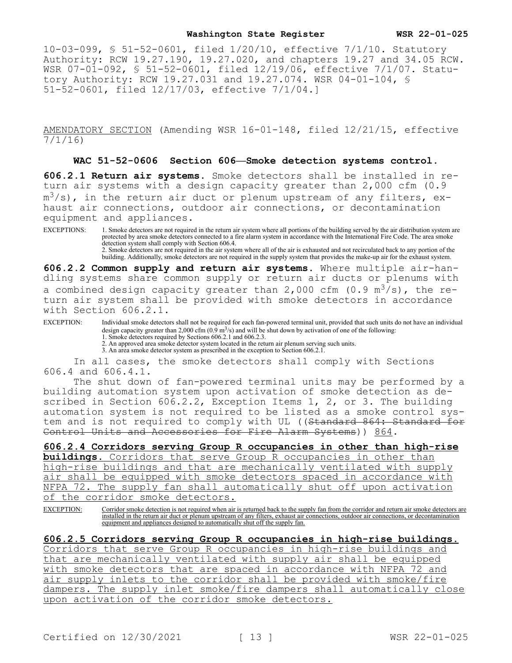10-03-099, § 51-52-0601, filed 1/20/10, effective 7/1/10. Statutory Authority: RCW 19.27.190, 19.27.020, and chapters 19.27 and 34.05 RCW. WSR 07-01-092, § 51-52-0601, filed 12/19/06, effective 7/1/07. Statutory Authority: RCW 19.27.031 and 19.27.074. WSR 04-01-104, § 51-52-0601, filed 12/17/03, effective 7/1/04.]

AMENDATORY SECTION (Amending WSR 16-01-148, filed 12/21/15, effective 7/1/16)

**WAC 51-52-0606 Section 606—Smoke detection systems control.**

**606.2.1 Return air systems.** Smoke detectors shall be installed in return air systems with a design capacity greater than 2,000 cfm (0.9  $\texttt{m}^3/\texttt{s}$ ), in the return air duct or plenum upstream of any filters, exhaust air connections, outdoor air connections, or decontamination equipment and appliances.

EXCEPTIONS: 1. Smoke detectors are not required in the return air system where all portions of the building served by the air distribution system are protected by area smoke detectors connected to a fire alarm system in accordance with the International Fire Code. The area smoke detection system shall comply with Section 606.4. 2. Smoke detectors are not required in the air system where all of the air is exhausted and not recirculated back to any portion of the

building. Additionally, smoke detectors are not required in the supply system that provides the make-up air for the exhaust system.

**606.2.2 Common supply and return air systems.** Where multiple air-handling systems share common supply or return air ducts or plenums with a combined design capacity greater than 2,000 cfm (0.9  $m^3/s$ ), the return air system shall be provided with smoke detectors in accordance with Section 606.2.1.

EXCEPTION: Individual smoke detectors shall not be required for each fan-powered terminal unit, provided that such units do not have an individual design capacity greater than 2,000 cfm  $(0.9 \text{ m}^3/\text{s})$  and will be shut down by activation of one of the following: 1. Smoke detectors required by Sections 606.2.1 and 606.2.3.

2. An approved area smoke detector system located in the return air plenum serving such units. 3. An area smoke detector system as prescribed in the exception to Section 606.2.1.

In all cases, the smoke detectors shall comply with Sections 606.4 and 606.4.1.

The shut down of fan-powered terminal units may be performed by a building automation system upon activation of smoke detection as described in Section 606.2.2, Exception Items 1, 2, or 3. The building automation system is not required to be listed as a smoke control system and is not required to comply with UL ((<del>Standard 864: Standard for</del> Control Units and Accessories for Fire Alarm Systems)) 864.

**606.2.4 Corridors serving Group R occupancies in other than high-rise buildings.** Corridors that serve Group R occupancies in other than high-rise buildings and that are mechanically ventilated with supply air shall be equipped with smoke detectors spaced in accordance with NFPA 72. The supply fan shall automatically shut off upon activation of the corridor smoke detectors.

EXCEPTION: Corridor smoke detection is not required when air is returned back to the supply fan from the corridor and return air smoke detectors are installed in the return air duct or plenum upstream of any filters, exhaust air connections, outdoor air connections, or decontamination equipment and appliances designed to automatically shut off the supply fan.

**606.2.5 Corridors serving Group R occupancies in high-rise buildings.**  Corridors that serve Group R occupancies in high-rise buildings and that are mechanically ventilated with supply air shall be equipped with smoke detectors that are spaced in accordance with NFPA 72 and air supply inlets to the corridor shall be provided with smoke/fire dampers. The supply inlet smoke/fire dampers shall automatically close upon activation of the corridor smoke detectors.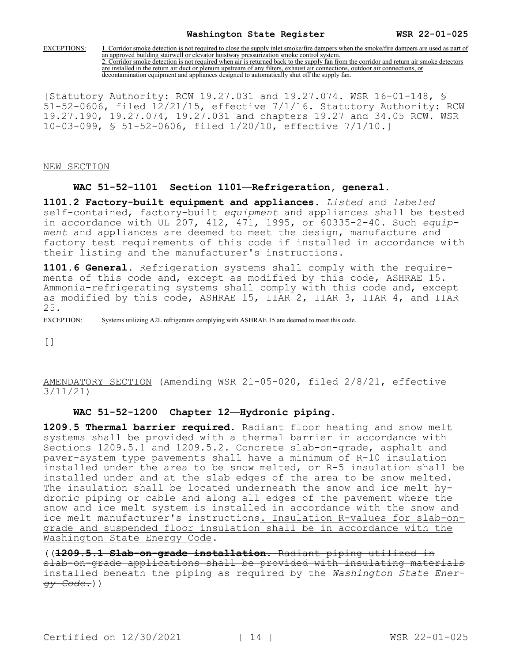EXCEPTIONS: 1. Corridor smoke detection is not required to close the supply inlet smoke/fire dampers when the smoke/fire dampers are used as part of an approved building stairwell or elevator hoistway pressurization smoke control system. 2. Corridor smoke detection is not required when air is returned back to the supply fan from the corridor and return air smoke detectors are installed in the return air duct or plenum upstream of any filters, exhaust air connections, outdoor air connections, or decontamination equipment and appliances designed to automatically shut off the supply fan.

[Statutory Authority: RCW 19.27.031 and 19.27.074. WSR 16-01-148, § 51-52-0606, filed 12/21/15, effective 7/1/16. Statutory Authority: RCW 19.27.190, 19.27.074, 19.27.031 and chapters 19.27 and 34.05 RCW. WSR 10-03-099, § 51-52-0606, filed 1/20/10, effective 7/1/10.]

NEW SECTION

#### **WAC 51-52-1101 Section 1101—Refrigeration, general.**

**1101.2 Factory-built equipment and appliances.** *Listed* and *labeled*  self-contained, factory-built *equipment* and appliances shall be tested in accordance with UL 207, 412, 471, 1995, or 60335-2-40. Such *equipment* and appliances are deemed to meet the design, manufacture and factory test requirements of this code if installed in accordance with their listing and the manufacturer's instructions.

**1101.6 General.** Refrigeration systems shall comply with the requirements of this code and, except as modified by this code, ASHRAE 15. Ammonia-refrigerating systems shall comply with this code and, except as modified by this code, ASHRAE 15, IIAR 2, IIAR 3, IIAR 4, and IIAR 25.

EXCEPTION: Systems utilizing A2L refrigerants complying with ASHRAE 15 are deemed to meet this code.

[]

AMENDATORY SECTION (Amending WSR 21-05-020, filed 2/8/21, effective 3/11/21)

## **WAC 51-52-1200 Chapter 12—Hydronic piping.**

**1209.5 Thermal barrier required.** Radiant floor heating and snow melt systems shall be provided with a thermal barrier in accordance with Sections 1209.5.1 and 1209.5.2. Concrete slab-on-grade, asphalt and paver-system type pavements shall have a minimum of R-10 insulation installed under the area to be snow melted, or R-5 insulation shall be installed under and at the slab edges of the area to be snow melted. The insulation shall be located underneath the snow and ice melt hydronic piping or cable and along all edges of the pavement where the snow and ice melt system is installed in accordance with the snow and ice melt manufacturer's instructions. Insulation R-values for slab-ongrade and suspended floor insulation shall be in accordance with the Washington State Energy Code.

((**1209.5.1 Slab-on-grade installation.** Radiant piping utilized in slab-on-grade applications shall be provided with insulating materials installed beneath the piping as required by the *Washington State Energy Code*.))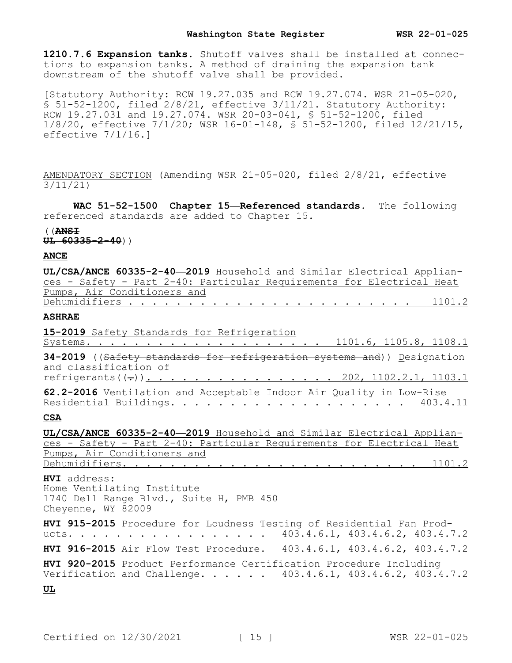**1210.7.6 Expansion tanks.** Shutoff valves shall be installed at connections to expansion tanks. A method of draining the expansion tank downstream of the shutoff valve shall be provided.

[Statutory Authority: RCW 19.27.035 and RCW 19.27.074. WSR 21-05-020, § 51-52-1200, filed 2/8/21, effective 3/11/21. Statutory Authority: RCW 19.27.031 and 19.27.074. WSR 20-03-041, § 51-52-1200, filed 1/8/20, effective 7/1/20; WSR 16-01-148, § 51-52-1200, filed 12/21/15, effective 7/1/16.]

AMENDATORY SECTION (Amending WSR 21-05-020, filed 2/8/21, effective 3/11/21)

**WAC 51-52-1500 Chapter 15—Referenced standards.** The following referenced standards are added to Chapter 15.

((**ANSI**

**UL 60335-2-40**))

#### **ANCE**

| UL/CSA/ANCE 60335-2-40-2019 Household and Similar Electrical Applian-                           |
|-------------------------------------------------------------------------------------------------|
| ces - Safety - Part 2-40: Particular Requirements for Electrical Heat                           |
| Pumps, Air Conditioners and                                                                     |
|                                                                                                 |
| <b>ASHRAE</b>                                                                                   |
| 15-2019 Safety Standards for Refrigeration                                                      |
| Systems. 1101.6, 1105.8, 1108.1                                                                 |
| 34-2019 ((Safety standards for refrigeration systems and)) Designation<br>and classification of |
| refrigerants((-)). 202, 1102.2.1, 1103.1                                                        |
| 62.2-2016 Ventilation and Acceptable Indoor Air Quality in Low-Rise                             |

#### **CSA**

**UL/CSA/ANCE 60335-2-40—2019** Household and Similar Electrical Appliances - Safety - Part 2-40: Particular Requirements for Electrical Heat Pumps, Air Conditioners and Dehumidifiers. . . . . . . . . . . . . . . . . . . . . . . . . 1101.2

**HVI** address: Home Ventilating Institute 1740 Dell Range Blvd., Suite H, PMB 450 Cheyenne, WY 82009

**HVI 915-2015** Procedure for Loudness Testing of Residential Fan Products. . . . . . . . . . . . . . . . . 403.4.6.1, 403.4.6.2, 403.4.7.2 **HVI 916-2015** Air Flow Test Procedure. 403.4.6.1, 403.4.6.2, 403.4.7.2

**HVI 920-2015** Product Performance Certification Procedure Including Verification and Challenge. . . . . . 403.4.6.1, 403.4.6.2, 403.4.7.2

**UL**